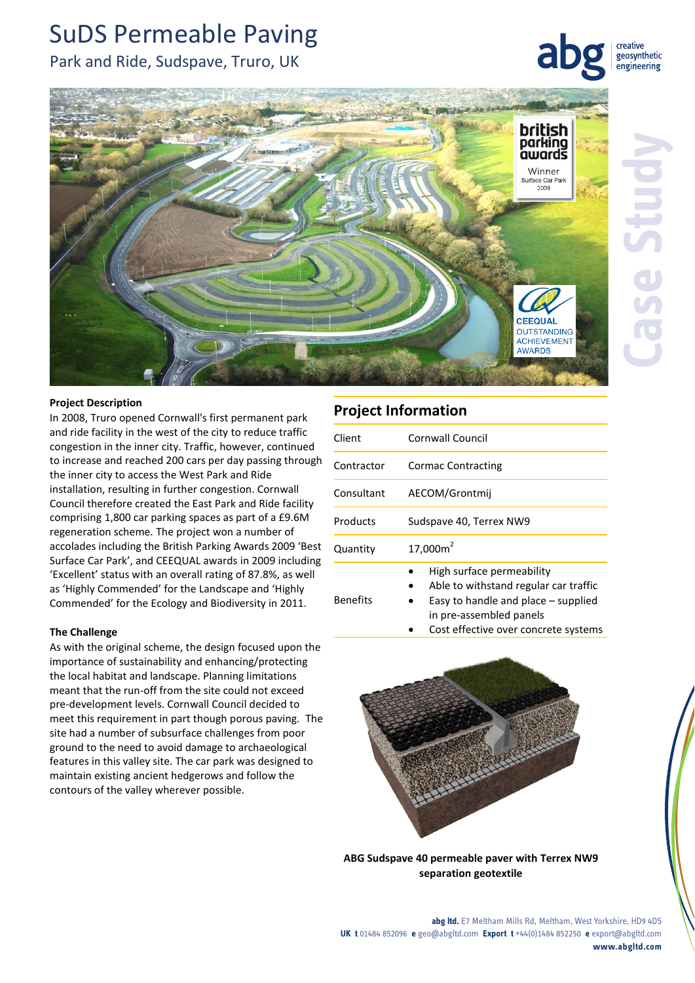# SuDS Permeable Paving

# Park and Ride, Sudspave, Truro, UK

creative geosynthetic engineering



### **Project Description**

In 2008, Truro opened Cornwall's first permanent park and ride facility in the west of the city to reduce traffic congestion in the inner city. Traffic, however, continued to increase and reached 200 cars per day passing through the inner city to access the West Park and Ride installation, resulting in further congestion. Cornwall Council therefore created the East Park and Ride facility comprising 1,800 car parking spaces as part of a £9.6M regeneration scheme. The project won a number of accolades including the British Parking Awards 2009 'Best Surface Car Park', and CEEQUAL awards in 2009 including 'Excellent' status with an overall rating of 87.8%, as well as 'Highly Commended' for the Landscape and 'Highly Commended' for the Ecology and Biodiversity in 2011.

### **The Challenge**

As with the original scheme, the design focused upon the importance of sustainability and enhancing/protecting the local habitat and landscape. Planning limitations meant that the run-off from the site could not exceed pre-development levels. Cornwall Council decided to meet this requirement in part though porous paving. The site had a number of subsurface challenges from poor ground to the need to avoid damage to archaeological features in this valley site. The car park was designed to maintain existing ancient hedgerows and follow the contours of the valley wherever possible.

# **Project Information**

Benefits

| Client     | Cornwall Council                                                   |
|------------|--------------------------------------------------------------------|
| Contractor | <b>Cormac Contracting</b>                                          |
| Consultant | AECOM/Grontmij                                                     |
| Products   | Sudspave 40, Terrex NW9                                            |
| Quantity   | 17,000m <sup>2</sup>                                               |
|            | High surface permeability<br>Able to withstand requier car traffic |

- Able to withstand regular car traffic Easy to handle and place – supplied
	- in pre-assembled panels
	- Cost effective over concrete systems



**ABG Sudspave 40 permeable paver with Terrex NW9 separation geotextile**